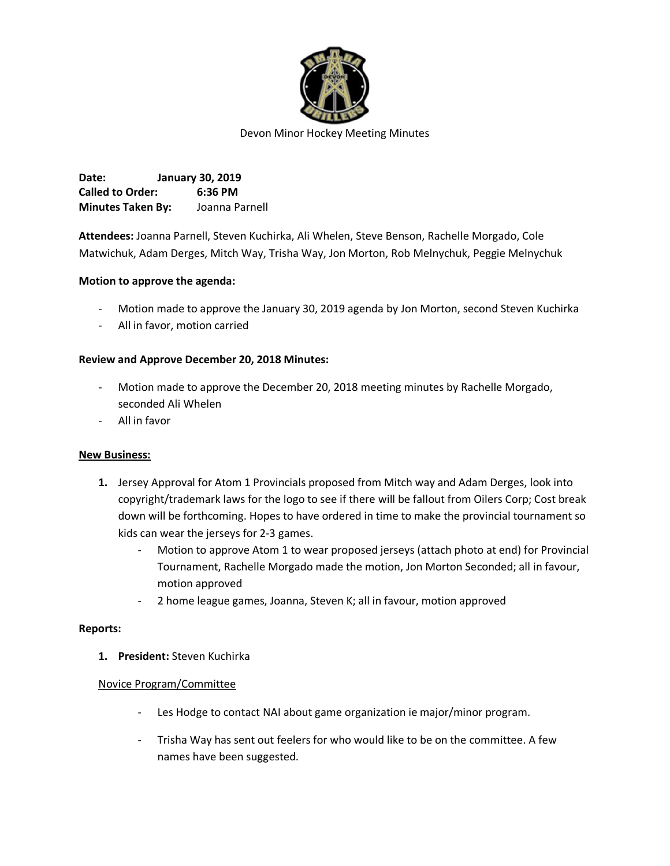

**Date: January 30, 2019 Called to Order: 6:36 PM Minutes Taken By:** Joanna Parnell

**Attendees:** Joanna Parnell, Steven Kuchirka, Ali Whelen, Steve Benson, Rachelle Morgado, Cole Matwichuk, Adam Derges, Mitch Way, Trisha Way, Jon Morton, Rob Melnychuk, Peggie Melnychuk

## **Motion to approve the agenda:**

- Motion made to approve the January 30, 2019 agenda by Jon Morton, second Steven Kuchirka
- All in favor, motion carried

### **Review and Approve December 20, 2018 Minutes:**

- Motion made to approve the December 20, 2018 meeting minutes by Rachelle Morgado, seconded Ali Whelen
- All in favor

### **New Business:**

- **1.** Jersey Approval for Atom 1 Provincials proposed from Mitch way and Adam Derges, look into copyright/trademark laws for the logo to see if there will be fallout from Oilers Corp; Cost break down will be forthcoming. Hopes to have ordered in time to make the provincial tournament so kids can wear the jerseys for 2-3 games.
	- Motion to approve Atom 1 to wear proposed jerseys (attach photo at end) for Provincial Tournament, Rachelle Morgado made the motion, Jon Morton Seconded; all in favour, motion approved
	- 2 home league games, Joanna, Steven K; all in favour, motion approved

### **Reports:**

**1. President:** Steven Kuchirka

### Novice Program/Committee

- Les Hodge to contact NAI about game organization ie major/minor program.
- Trisha Way has sent out feelers for who would like to be on the committee. A few names have been suggested.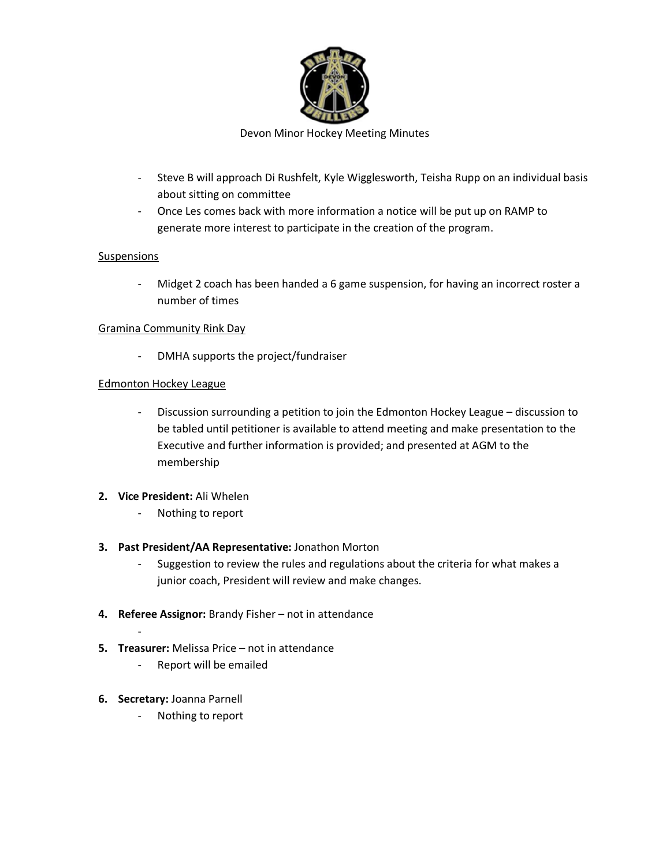

- Steve B will approach Di Rushfelt, Kyle Wigglesworth, Teisha Rupp on an individual basis about sitting on committee
- Once Les comes back with more information a notice will be put up on RAMP to generate more interest to participate in the creation of the program.

## Suspensions

- Midget 2 coach has been handed a 6 game suspension, for having an incorrect roster a number of times

## Gramina Community Rink Day

- DMHA supports the project/fundraiser

# Edmonton Hockey League

- Discussion surrounding a petition to join the Edmonton Hockey League – discussion to be tabled until petitioner is available to attend meeting and make presentation to the Executive and further information is provided; and presented at AGM to the membership

## **2. Vice President:** Ali Whelen

- Nothing to report

## **3. Past President/AA Representative:** Jonathon Morton

- Suggestion to review the rules and regulations about the criteria for what makes a junior coach, President will review and make changes.
- **4. Referee Assignor:** Brandy Fisher not in attendance
- **5. Treasurer:** Melissa Price not in attendance
	- Report will be emailed
- **6. Secretary:** Joanna Parnell

-

Nothing to report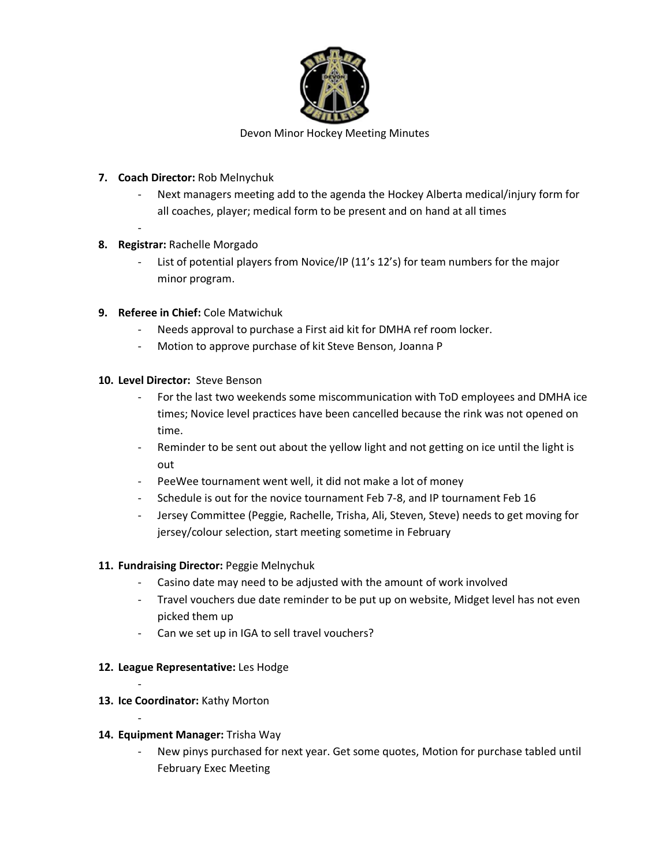

- **7. Coach Director:** Rob Melnychuk
	- Next managers meeting add to the agenda the Hockey Alberta medical/injury form for all coaches, player; medical form to be present and on hand at all times
- **8. Registrar:** Rachelle Morgado
	- List of potential players from Novice/IP (11's 12's) for team numbers for the major minor program.
- **9. Referee in Chief:** Cole Matwichuk
	- Needs approval to purchase a First aid kit for DMHA ref room locker.
	- Motion to approve purchase of kit Steve Benson, Joanna P
- **10. Level Director:** Steve Benson
	- For the last two weekends some miscommunication with ToD employees and DMHA ice times; Novice level practices have been cancelled because the rink was not opened on time.
	- Reminder to be sent out about the yellow light and not getting on ice until the light is out
	- PeeWee tournament went well, it did not make a lot of money
	- Schedule is out for the novice tournament Feb 7-8, and IP tournament Feb 16
	- Jersey Committee (Peggie, Rachelle, Trisha, Ali, Steven, Steve) needs to get moving for jersey/colour selection, start meeting sometime in February

## **11. Fundraising Director:** Peggie Melnychuk

- Casino date may need to be adjusted with the amount of work involved
- Travel vouchers due date reminder to be put up on website, Midget level has not even picked them up
- Can we set up in IGA to sell travel vouchers?

## **12. League Representative:** Les Hodge

**13. Ice Coordinator:** Kathy Morton

-

-

## **14. Equipment Manager:** Trisha Way

New pinys purchased for next year. Get some quotes, Motion for purchase tabled until February Exec Meeting